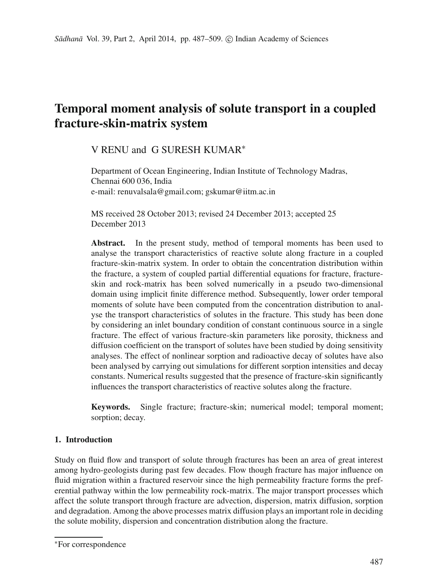# **Temporal moment analysis of solute transport in a coupled fracture-skin-matrix system**

# V RENU and G SURESH KUMAR∗

Department of Ocean Engineering, Indian Institute of Technology Madras, Chennai 600 036, India e-mail: renuvalsala@gmail.com; gskumar@iitm.ac.in

MS received 28 October 2013; revised 24 December 2013; accepted 25 December 2013

**Abstract.** In the present study, method of temporal moments has been used to analyse the transport characteristics of reactive solute along fracture in a coupled fracture-skin-matrix system. In order to obtain the concentration distribution within the fracture, a system of coupled partial differential equations for fracture, fractureskin and rock-matrix has been solved numerically in a pseudo two-dimensional domain using implicit finite difference method. Subsequently, lower order temporal moments of solute have been computed from the concentration distribution to analyse the transport characteristics of solutes in the fracture. This study has been done by considering an inlet boundary condition of constant continuous source in a single fracture. The effect of various fracture-skin parameters like porosity, thickness and diffusion coefficient on the transport of solutes have been studied by doing sensitivity analyses. The effect of nonlinear sorption and radioactive decay of solutes have also been analysed by carrying out simulations for different sorption intensities and decay constants. Numerical results suggested that the presence of fracture-skin significantly influences the transport characteristics of reactive solutes along the fracture.

**Keywords.** Single fracture; fracture-skin; numerical model; temporal moment; sorption; decay.

# **1. Introduction**

Study on fluid flow and transport of solute through fractures has been an area of great interest among hydro-geologists during past few decades. Flow though fracture has major influence on fluid migration within a fractured reservoir since the high permeability fracture forms the preferential pathway within the low permeability rock-matrix. The major transport processes which affect the solute transport through fracture are advection, dispersion, matrix diffusion, sorption and degradation. Among the above processes matrix diffusion plays an important role in deciding the solute mobility, dispersion and concentration distribution along the fracture.

<sup>∗</sup>For correspondence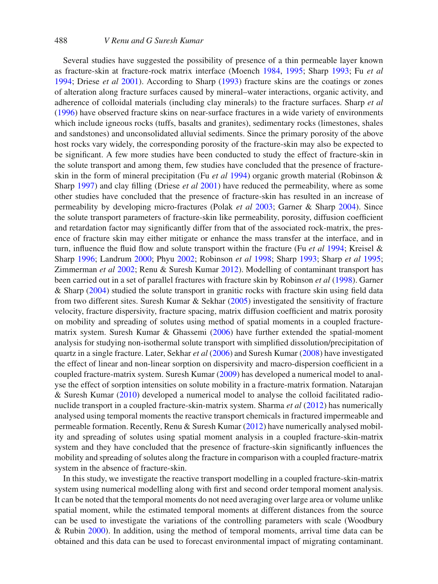Several studies have suggested the possibility of presence of a thin permeable layer known as fracture-skin at fracture-rock matrix interface (Moench [1984,](#page-21-0) [1995;](#page-21-1) Sharp [1993;](#page-21-2) Fu *et al* [1994;](#page-20-0) Driese *et al* [2001\)](#page-20-1). According to Sharp [\(1993\)](#page-21-2) fracture skins are the coatings or zones of alteration along fracture surfaces caused by mineral–water interactions, organic activity, and adherence of colloidal materials (including clay minerals) to the fracture surfaces. Sharp *et al* [\(1996\)](#page-21-3) have observed fracture skins on near-surface fractures in a wide variety of environments which include igneous rocks (tuffs, basalts and granites), sedimentary rocks (limestones, shales and sandstones) and unconsolidated alluvial sediments. Since the primary porosity of the above host rocks vary widely, the corresponding porosity of the fracture-skin may also be expected to be significant. A few more studies have been conducted to study the effect of fracture-skin in the solute transport and among them, few studies have concluded that the presence of fractureskin in the form of mineral precipitation (Fu *et al* [1994\)](#page-20-0) organic growth material (Robinson & Sharp [1997\)](#page-21-4) and clay filling (Driese *et al* [2001\)](#page-20-1) have reduced the permeability, where as some other studies have concluded that the presence of fracture-skin has resulted in an increase of permeability by developing micro-fractures (Polak *et al* [2003;](#page-21-5) Garner & Sharp [2004\)](#page-21-6). Since the solute transport parameters of fracture-skin like permeability, porosity, diffusion coefficient and retardation factor may significantly differ from that of the associated rock-matrix, the presence of fracture skin may either mitigate or enhance the mass transfer at the interface, and in turn, influence the fluid flow and solute transport within the fracture (Fu *et al* [1994;](#page-20-0) Kreisel & Sharp [1996;](#page-21-7) Landrum [2000;](#page-21-8) Phyu [2002;](#page-21-9) Robinson *et al* [1998;](#page-21-10) Sharp [1993;](#page-21-2) Sharp *et al* [1995;](#page-21-11) Zimmerman *et al* [2002;](#page-22-0) Renu & Suresh Kumar [2012\)](#page-21-12). Modelling of contaminant transport has been carried out in a set of parallel fractures with fracture skin by Robinson *et al* [\(1998\)](#page-21-10). Garner & Sharp [\(2004\)](#page-21-6) studied the solute transport in granitic rocks with fracture skin using field data from two different sites. Suresh Kumar & Sekhar [\(2005\)](#page-22-1) investigated the sensitivity of fracture velocity, fracture dispersivity, fracture spacing, matrix diffusion coefficient and matrix porosity on mobility and spreading of solutes using method of spatial moments in a coupled fracturematrix system. Suresh Kumar & Ghassemi [\(2006\)](#page-22-2) have further extended the spatial-moment analysis for studying non-isothermal solute transport with simplified dissolution/precipitation of quartz in a single fracture. Later, Sekhar *et al* [\(2006\)](#page-21-13) and Suresh Kumar [\(2008\)](#page-22-3) have investigated the effect of linear and non-linear sorption on dispersivity and macro-dispersion coefficient in a coupled fracture-matrix system. Suresh Kumar [\(2009\)](#page-22-4) has developed a numerical model to analyse the effect of sorption intensities on solute mobility in a fracture-matrix formation. Natarajan & Suresh Kumar [\(2010\)](#page-21-14) developed a numerical model to analyse the colloid facilitated radionuclide transport in a coupled fracture-skin-matrix system. Sharma *et al* [\(2012\)](#page-21-15) has numerically analysed using temporal moments the reactive transport chemicals in fractured impermeable and permeable formation. Recently, Renu & Suresh Kumar [\(2012\)](#page-21-12) have numerically analysed mobility and spreading of solutes using spatial moment analysis in a coupled fracture-skin-matrix system and they have concluded that the presence of fracture-skin significantly influences the mobility and spreading of solutes along the fracture in comparison with a coupled fracture-matrix system in the absence of fracture-skin.

In this study, we investigate the reactive transport modelling in a coupled fracture-skin-matrix system using numerical modelling along with first and second order temporal moment analysis. It can be noted that the temporal moments do not need averaging over large area or volume unlike spatial moment, while the estimated temporal moments at different distances from the source can be used to investigate the variations of the controlling parameters with scale (Woodbury & Rubin [2000\)](#page-22-5). In addition, using the method of temporal moments, arrival time data can be obtained and this data can be used to forecast environmental impact of migrating contaminant.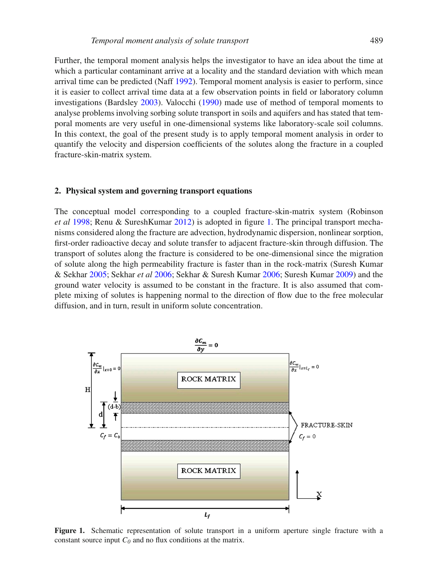Further, the temporal moment analysis helps the investigator to have an idea about the time at which a particular contaminant arrive at a locality and the standard deviation with which mean arrival time can be predicted (Naff [1992\)](#page-21-16). Temporal moment analysis is easier to perform, since it is easier to collect arrival time data at a few observation points in field or laboratory column investigations (Bardsley [2003\)](#page-20-2). Valocchi [\(1990\)](#page-22-6) made use of method of temporal moments to analyse problems involving sorbing solute transport in soils and aquifers and has stated that temporal moments are very useful in one-dimensional systems like laboratory-scale soil columns. In this context, the goal of the present study is to apply temporal moment analysis in order to quantify the velocity and dispersion coefficients of the solutes along the fracture in a coupled fracture-skin-matrix system.

#### **2. Physical system and governing transport equations**

The conceptual model corresponding to a coupled fracture-skin-matrix system (Robinson *et al* [1998;](#page-21-10) Renu & SureshKumar [2012\)](#page-21-12) is adopted in figure [1.](#page-2-0) The principal transport mechanisms considered along the fracture are advection, hydrodynamic dispersion, nonlinear sorption, first-order radioactive decay and solute transfer to adjacent fracture-skin through diffusion. The transport of solutes along the fracture is considered to be one-dimensional since the migration of solute along the high permeability fracture is faster than in the rock-matrix (Suresh Kumar & Sekhar [2005;](#page-22-1) Sekhar *et al* [2006;](#page-21-13) Sekhar & Suresh Kumar [2006;](#page-21-17) Suresh Kumar [2009\)](#page-22-4) and the ground water velocity is assumed to be constant in the fracture. It is also assumed that complete mixing of solutes is happening normal to the direction of flow due to the free molecular diffusion, and in turn, result in uniform solute concentration.

<span id="page-2-0"></span>

Figure 1. Schematic representation of solute transport in a uniform aperture single fracture with a constant source input  $C_0$  and no flux conditions at the matrix.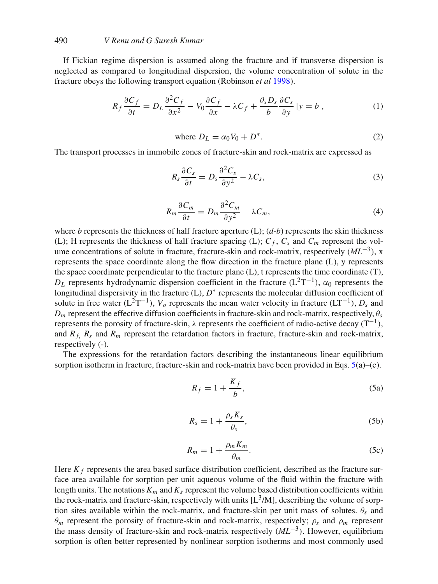# 490 *V Renu and G Suresh Kumar*

If Fickian regime dispersion is assumed along the fracture and if transverse dispersion is neglected as compared to longitudinal dispersion, the volume concentration of solute in the fracture obeys the following transport equation (Robinson *et al* [1998\)](#page-21-10).

<span id="page-3-0"></span>
$$
R_f \frac{\partial C_f}{\partial t} = D_L \frac{\partial^2 C_f}{\partial x^2} - V_0 \frac{\partial C_f}{\partial x} - \lambda C_f + \frac{\theta_s D_s}{b} \frac{\partial C_s}{\partial y} \mid y = b \,, \tag{1}
$$

where 
$$
D_L = \alpha_0 V_0 + D^*.
$$
 (2)

The transport processes in immobile zones of fracture-skin and rock-matrix are expressed as

<span id="page-3-1"></span>
$$
R_s \frac{\partial C_s}{\partial t} = D_s \frac{\partial^2 C_s}{\partial y^2} - \lambda C_s, \tag{3}
$$

<span id="page-3-2"></span>
$$
R_m \frac{\partial C_m}{\partial t} = D_m \frac{\partial^2 C_m}{\partial y^2} - \lambda C_m,\tag{4}
$$

where *b* represents the thickness of half fracture aperture  $(L)$ ;  $(d-b)$  represents the skin thickness (L); H represents the thickness of half fracture spacing (L);  $C_f$ ,  $C_s$  and  $C_m$  represent the volume concentrations of solute in fracture, fracture-skin and rock-matrix, respectively (*ML*−3), x represents the space coordinate along the flow direction in the fracture plane (L), y represents the space coordinate perpendicular to the fracture plane (L), t represents the time coordinate (T), *D*<sub>L</sub> represents hydrodynamic dispersion coefficient in the fracture (L<sup>2</sup>T<sup>-1</sup>),  $\alpha_0$  represents the longitudinal dispersivity in the fracture (L), *D*∗ represents the molecular diffusion coefficient of solute in free water (L<sup>2</sup>T<sup>-1</sup>),  $V_o$  represents the mean water velocity in fracture (LT<sup>-1</sup>),  $D_s$  and  $D_m$  represent the effective diffusion coefficients in fracture-skin and rock-matrix, respectively,  $\theta_s$ represents the porosity of fracture-skin,  $\lambda$  represents the coefficient of radio-active decay (T<sup>-1</sup>), and  $R_f$ ,  $R_s$  and  $R_m$  represent the retardation factors in fracture, fracture-skin and rock-matrix, respectively (-).

The expressions for the retardation factors describing the instantaneous linear equilibrium sorption isotherm in fracture, fracture-skin and rock-matrix have been provided in Eqs. 5(a)–(c).

$$
R_f = 1 + \frac{K_f}{b},\tag{5a}
$$

$$
R_s = 1 + \frac{\rho_s K_s}{\theta_s},\tag{5b}
$$

$$
R_m = 1 + \frac{\rho_m K_m}{\theta_m}.
$$
\n(5c)

Here  $K_f$  represents the area based surface distribution coefficient, described as the fracture surface area available for sorption per unit aqueous volume of the fluid within the fracture with length units. The notations  $K_m$  and  $K_s$  represent the volume based distribution coefficients within the rock-matrix and fracture-skin, respectively with units  $[L<sup>3</sup>/M]$ , describing the volume of sorption sites available within the rock-matrix, and fracture-skin per unit mass of solutes.  $\theta_s$  and  $\theta_m$  represent the porosity of fracture-skin and rock-matrix, respectively;  $\rho_s$  and  $\rho_m$  represent the mass density of fracture-skin and rock-matrix respectively (*ML*−3). However, equilibrium sorption is often better represented by nonlinear sorption isotherms and most commonly used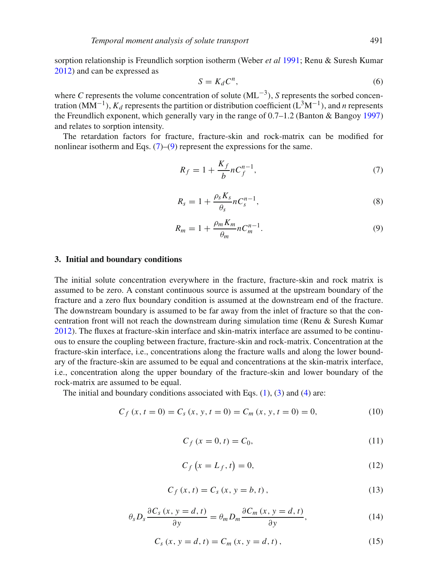sorption relationship is Freundlich sorption isotherm (Weber *et al* [1991;](#page-22-7) Renu & Suresh Kumar [2012\)](#page-21-12) and can be expressed as

$$
S = K_d C^n,\tag{6}
$$

where *C* represents the volume concentration of solute (ML−3), *S* represents the sorbed concentration (MM<sup>-1</sup>),  $K_d$  represents the partition or distribution coefficient (L<sup>3</sup>M<sup>-1</sup>), and *n* represents the Freundlich exponent, which generally vary in the range of 0.7–1.2 (Banton & Bangoy [1997\)](#page-20-3) and relates to sorption intensity.

The retardation factors for fracture, fracture-skin and rock-matrix can be modified for nonlinear isotherm and Eqs.  $(7)$ – $(9)$  represent the expressions for the same.

<span id="page-4-0"></span>
$$
R_f = 1 + \frac{K_f}{b} n C_f^{n-1},\tag{7}
$$

$$
R_s = 1 + \frac{\rho_s K_s}{\theta_s} n C_s^{n-1},\tag{8}
$$

<span id="page-4-1"></span>
$$
R_m = 1 + \frac{\rho_m K_m}{\theta_m} n C_m^{n-1}.
$$
\n<sup>(9)</sup>

#### **3. Initial and boundary conditions**

The initial solute concentration everywhere in the fracture, fracture-skin and rock matrix is assumed to be zero. A constant continuous source is assumed at the upstream boundary of the fracture and a zero flux boundary condition is assumed at the downstream end of the fracture. The downstream boundary is assumed to be far away from the inlet of fracture so that the concentration front will not reach the downstream during simulation time (Renu & Suresh Kumar [2012\)](#page-21-12). The fluxes at fracture-skin interface and skin-matrix interface are assumed to be continuous to ensure the coupling between fracture, fracture-skin and rock-matrix. Concentration at the fracture-skin interface, i.e., concentrations along the fracture walls and along the lower boundary of the fracture-skin are assumed to be equal and concentrations at the skin-matrix interface, i.e., concentration along the upper boundary of the fracture-skin and lower boundary of the rock-matrix are assumed to be equal.

The initial and boundary conditions associated with Eqs.  $(1)$ ,  $(3)$  and  $(4)$  are:

$$
C_f(x, t = 0) = C_s(x, y, t = 0) = C_m(x, y, t = 0) = 0,
$$
\n(10)

$$
C_f(x = 0, t) = C_0,
$$
\n(11)

$$
C_f\left(x = L_f, t\right) = 0,\tag{12}
$$

$$
C_f(x, t) = C_s(x, y = b, t),
$$
\n(13)

$$
\theta_s D_s \frac{\partial C_s(x, y = d, t)}{\partial y} = \theta_m D_m \frac{\partial C_m(x, y = d, t)}{\partial y},
$$
\n(14)

$$
C_{s}(x, y = d, t) = C_{m}(x, y = d, t),
$$
\n(15)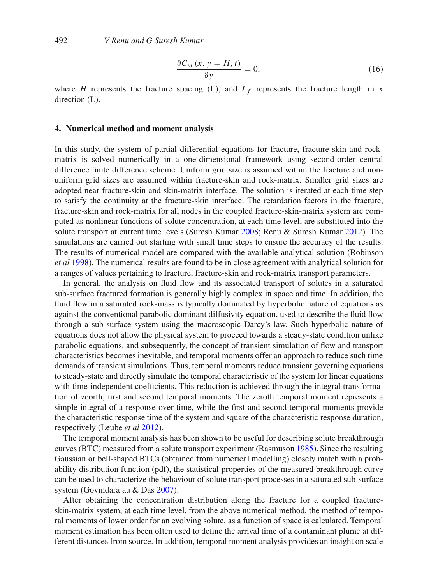$$
\frac{\partial C_m(x, y = H, t)}{\partial y} = 0,
$$
\n(16)

where *H* represents the fracture spacing (L), and  $L_f$  represents the fracture length in x direction  $(L)$ .

#### **4. Numerical method and moment analysis**

In this study, the system of partial differential equations for fracture, fracture-skin and rockmatrix is solved numerically in a one-dimensional framework using second-order central difference finite difference scheme. Uniform grid size is assumed within the fracture and nonuniform grid sizes are assumed within fracture-skin and rock-matrix. Smaller grid sizes are adopted near fracture-skin and skin-matrix interface. The solution is iterated at each time step to satisfy the continuity at the fracture-skin interface. The retardation factors in the fracture, fracture-skin and rock-matrix for all nodes in the coupled fracture-skin-matrix system are computed as nonlinear functions of solute concentration, at each time level, are substituted into the solute transport at current time levels (Suresh Kumar [2008;](#page-22-3) Renu & Suresh Kumar [2012\)](#page-21-12). The simulations are carried out starting with small time steps to ensure the accuracy of the results. The results of numerical model are compared with the available analytical solution (Robinson *et al* [1998\)](#page-21-10). The numerical results are found to be in close agreement with analytical solution for a ranges of values pertaining to fracture, fracture-skin and rock-matrix transport parameters.

In general, the analysis on fluid flow and its associated transport of solutes in a saturated sub-surface fractured formation is generally highly complex in space and time. In addition, the fluid flow in a saturated rock-mass is typically dominated by hyperbolic nature of equations as against the conventional parabolic dominant diffusivity equation, used to describe the fluid flow through a sub-surface system using the macroscopic Darcy's law. Such hyperbolic nature of equations does not allow the physical system to proceed towards a steady-state condition unlike parabolic equations, and subsequently, the concept of transient simulation of flow and transport characteristics becomes inevitable, and temporal moments offer an approach to reduce such time demands of transient simulations. Thus, temporal moments reduce transient governing equations to steady-state and directly simulate the temporal characteristic of the system for linear equations with time-independent coefficients. This reduction is achieved through the integral transformation of zeorth, first and second temporal moments. The zeroth temporal moment represents a simple integral of a response over time, while the first and second temporal moments provide the characteristic response time of the system and square of the characteristic response duration, respectively (Leube *et al* [2012\)](#page-21-18).

The temporal moment analysis has been shown to be useful for describing solute breakthrough curves (BTC) measured from a solute transport experiment (Rasmuson [1985\)](#page-21-19). Since the resulting Gaussian or bell-shaped BTCs (obtained from numerical modelling) closely match with a probability distribution function (pdf), the statistical properties of the measured breakthrough curve can be used to characterize the behaviour of solute transport processes in a saturated sub-surface system (Govindarajau & Das [2007\)](#page-21-20).

After obtaining the concentration distribution along the fracture for a coupled fractureskin-matrix system, at each time level, from the above numerical method, the method of temporal moments of lower order for an evolving solute, as a function of space is calculated. Temporal moment estimation has been often used to define the arrival time of a contaminant plume at different distances from source. In addition, temporal moment analysis provides an insight on scale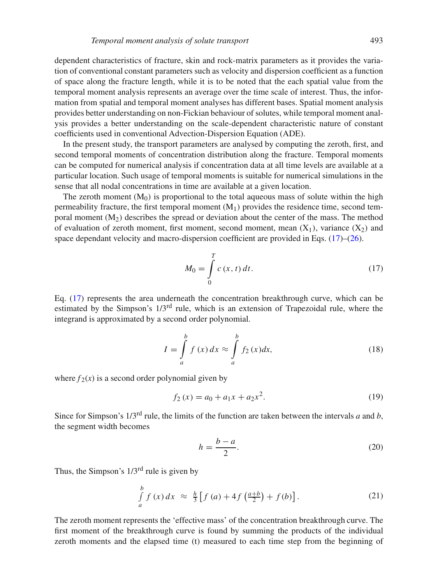dependent characteristics of fracture, skin and rock-matrix parameters as it provides the variation of conventional constant parameters such as velocity and dispersion coefficient as a function of space along the fracture length, while it is to be noted that the each spatial value from the temporal moment analysis represents an average over the time scale of interest. Thus, the information from spatial and temporal moment analyses has different bases. Spatial moment analysis provides better understanding on non-Fickian behaviour of solutes, while temporal moment analysis provides a better understanding on the scale-dependent characteristic nature of constant coefficients used in conventional Advection-Dispersion Equation (ADE).

In the present study, the transport parameters are analysed by computing the zeroth, first, and second temporal moments of concentration distribution along the fracture. Temporal moments can be computed for numerical analysis if concentration data at all time levels are available at a particular location. Such usage of temporal moments is suitable for numerical simulations in the sense that all nodal concentrations in time are available at a given location.

The zeroth moment  $(M<sub>0</sub>)$  is proportional to the total aqueous mass of solute within the high permeability fracture, the first temporal moment  $(M_1)$  provides the residence time, second temporal moment  $(M<sub>2</sub>)$  describes the spread or deviation about the center of the mass. The method of evaluation of zeroth moment, first moment, second moment, mean  $(X_1)$ , variance  $(X_2)$  and space dependant velocity and macro-dispersion coefficient are provided in Eqs.  $(17)$ – $(26)$ .

<span id="page-6-0"></span>
$$
M_0 = \int_{0}^{T} c(x, t) dt.
$$
 (17)

Eq. [\(17\)](#page-6-0) represents the area underneath the concentration breakthrough curve, which can be estimated by the Simpson's 1/3rd rule, which is an extension of Trapezoidal rule, where the integrand is approximated by a second order polynomial.

$$
I = \int_{a}^{b} f(x) dx \approx \int_{a}^{b} f_2(x) dx,
$$
 (18)

where  $f_2(x)$  is a second order polynomial given by

<span id="page-6-1"></span>
$$
f_2(x) = a_0 + a_1 x + a_2 x^2.
$$
 (19)

Since for Simpson's 1/3rd rule, the limits of the function are taken between the intervals *a* and *b*, the segment width becomes

$$
h = \frac{b - a}{2}.\tag{20}
$$

Thus, the Simpson's  $1/3<sup>rd</sup>$  rule is given by

$$
\int_{a}^{b} f(x) dx \approx \frac{h}{3} [f(a) + 4f(\frac{a+b}{2}) + f(b)].
$$
\n(21)

The zeroth moment represents the 'effective mass' of the concentration breakthrough curve. The first moment of the breakthrough curve is found by summing the products of the individual zeroth moments and the elapsed time (t) measured to each time step from the beginning of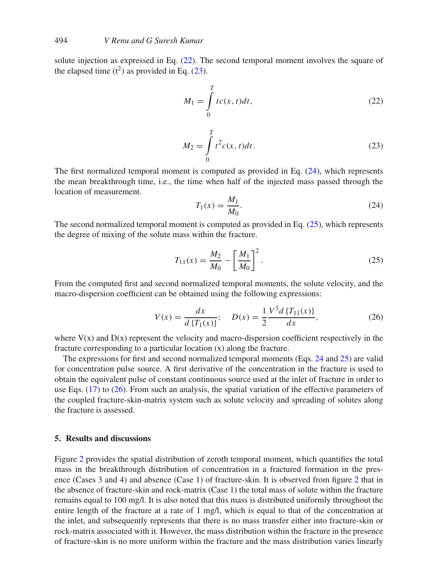solute injection as expressed in Eq. [\(22\)](#page-7-1). The second temporal moment involves the square of the elapsed time  $(t^2)$  as provided in Eq. [\(23\)](#page-7-2).

<span id="page-7-1"></span>
$$
M_1 = \int_0^T t c(x, t) dt,
$$
\n(22)

<span id="page-7-2"></span>
$$
M_2 = \int_0^T t^2 c(x, t) dt.
$$
 (23)

The first normalized temporal moment is computed as provided in Eq. [\(24\)](#page-7-3), which represents the mean breakthrough time, i.e., the time when half of the injected mass passed through the location of measurement.

<span id="page-7-3"></span>
$$
T_1(x) = \frac{M_1}{M_0}.\t(24)
$$

The second normalized temporal moment is computed as provided in Eq. [\(25\)](#page-7-4), which represents the degree of mixing of the solute mass within the fracture.

<span id="page-7-4"></span>
$$
T_{11}(x) = \frac{M_2}{M_0} - \left[\frac{M_1}{M_0}\right]^2.
$$
 (25)

From the computed first and second normalized temporal moments, the solute velocity, and the macro-dispersion coefficient can be obtained using the following expressions:

$$
V(x) = \frac{dx}{d\left\{T_1(x)\right\}}; \quad D(x) = \frac{1}{2} \frac{V^3 d\left\{T_{11}(x)\right\}}{dx}, \tag{26}
$$

<span id="page-7-0"></span>where  $V(x)$  and  $D(x)$  represent the velocity and macro-dispersion coefficient respectively in the fracture corresponding to a particular location (x) along the fracture.

The expressions for first and second normalized temporal moments (Eqs. [24](#page-7-3) and [25\)](#page-7-4) are valid for concentration pulse source. A first derivative of the concentration in the fracture is used to obtain the equivalent pulse of constant continuous source used at the inlet of fracture in order to use Eqs. [\(17\)](#page-6-0) to [\(26\)](#page-7-0). From such an analysis, the spatial variation of the effective parameters of the coupled fracture-skin-matrix system such as solute velocity and spreading of solutes along the fracture is assessed.

# **5. Results and discussions**

Figure [2](#page-8-0) provides the spatial distribution of zeroth temporal moment, which quantifies the total mass in the breakthrough distribution of concentration in a fractured formation in the presence (Cases 3 and 4) and absence (Case 1) of fracture-skin. It is observed from figure [2](#page-8-0) that in the absence of fracture-skin and rock-matrix (Case 1) the total mass of solute within the fracture remains equal to 100 mg/l. It is also noted that this mass is distributed uniformly throughout the entire length of the fracture at a rate of 1 mg/l, which is equal to that of the concentration at the inlet, and subsequently represents that there is no mass transfer either into fracture-skin or rock-matrix associated with it. However, the mass distribution within the fracture in the presence of fracture-skin is no more uniform within the fracture and the mass distribution varies linearly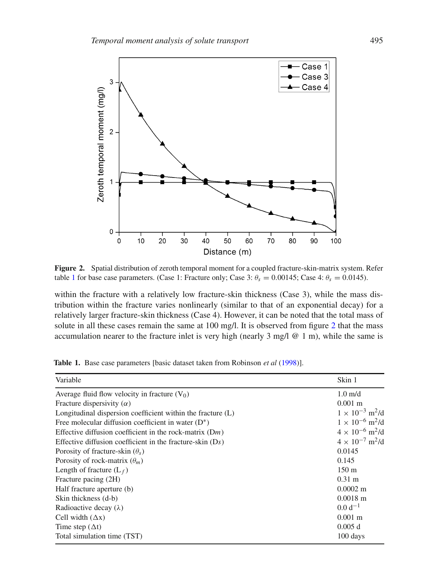<span id="page-8-0"></span>

**Figure 2.** Spatial distribution of zeroth temporal moment for a coupled fracture-skin-matrix system. Refer table [1](#page-8-1) for base case parameters. (Case 1: Fracture only; Case 3:  $\theta_s = 0.00145$ ; Case 4:  $\theta_s = 0.0145$ ).

within the fracture with a relatively low fracture-skin thickness (Case 3), while the mass distribution within the fracture varies nonlinearly (similar to that of an exponential decay) for a relatively larger fracture-skin thickness (Case 4). However, it can be noted that the total mass of solute in all these cases remain the same at 100 mg/l. It is observed from figure [2](#page-8-0) that the mass accumulation nearer to the fracture inlet is very high (nearly  $3 \text{ mg/l} \& 1 \text{ m}$ ), while the same is

| Variable                                                    | Skin 1                               |
|-------------------------------------------------------------|--------------------------------------|
| Average fluid flow velocity in fracture $(V_0)$             | $1.0 \text{ m/d}$                    |
| Fracture dispersivity $(\alpha)$                            | $0.001$ m                            |
| Longitudinal dispersion coefficient within the fracture (L) | $1 \times 10^{-3}$ m <sup>2</sup> /d |
| Free molecular diffusion coefficient in water $(D^*)$       | $1 \times 10^{-6}$ m <sup>2</sup> /d |
| Effective diffusion coefficient in the rock-matrix $(Dm)$   | $4 \times 10^{-6}$ m <sup>2</sup> /d |
| Effective diffusion coefficient in the fracture-skin $(Ds)$ | $4 \times 10^{-7}$ m <sup>2</sup> /d |
| Porosity of fracture-skin $(\theta_s)$                      | 0.0145                               |
| Porosity of rock-matrix $(\theta_m)$                        | 0.145                                |
| Length of fracture $(L_f)$                                  | 150 <sub>m</sub>                     |
| Fracture pacing (2H)                                        | $0.31 \text{ m}$                     |
| Half fracture aperture (b)                                  | $0.0002 \; \mathrm{m}$               |
| Skin thickness (d-b)                                        | $0.0018 \; \mathrm{m}$               |
| Radioactive decay $(\lambda)$                               | $0.0 d^{-1}$                         |
| Cell width $(\Delta x)$                                     | $0.001 \; \mathrm{m}$                |
| Time step $(\Delta t)$                                      | 0.005 d                              |
| Total simulation time (TST)                                 | 100 days                             |

<span id="page-8-1"></span>**Table 1.** Base case parameters [basic dataset taken from Robinson *et al* [\(1998\)](#page-21-10)].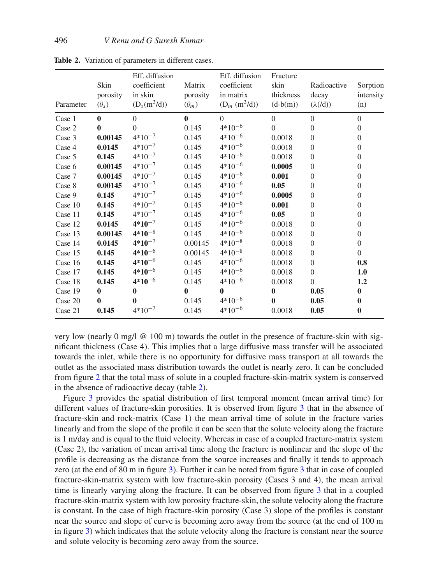| Parameter | Skin<br>porosity<br>$(\theta_s)$ | Eff. diffusion<br>coefficient<br>in skin<br>$(D_s(m^2/d))$ | Matrix<br>porosity<br>$(\theta_m)$ | Eff. diffusion<br>coefficient<br>in matrix<br>$(D_m (m^2/d))$ | Fracture<br>skin<br>thickness<br>$(d-b(m))$ | Radioactive<br>decay<br>$(\lambda(\text{d}))$ | Sorption<br>intensity<br>(n) |
|-----------|----------------------------------|------------------------------------------------------------|------------------------------------|---------------------------------------------------------------|---------------------------------------------|-----------------------------------------------|------------------------------|
| Case 1    | $\bf{0}$                         | $\Omega$                                                   | $\bf{0}$                           | $\Omega$                                                      | $\Omega$                                    | $\Omega$                                      | $\Omega$                     |
| Case 2    | 0                                | $\Omega$                                                   | 0.145                              | $4*10^{-6}$                                                   | $\theta$                                    | $\overline{0}$                                | $\overline{0}$               |
| Case 3    | 0.00145                          | $4*10^{-7}$                                                | 0.145                              | $4*10^{-6}$                                                   | 0.0018                                      | $\theta$                                      | $\Omega$                     |
| Case 4    | 0.0145                           | $4*10^{-7}$                                                | 0.145                              | $4*10^{-6}$                                                   | 0.0018                                      | $\overline{0}$                                | $\theta$                     |
| Case 5    | 0.145                            | $4*10^{-7}$                                                | 0.145                              | $4*10^{-6}$                                                   | 0.0018                                      | $\overline{0}$                                | $\theta$                     |
| Case 6    | 0.00145                          | $4*10^{-7}$                                                | 0.145                              | $4*10^{-6}$                                                   | 0.0005                                      | $\overline{0}$                                | $\overline{0}$               |
| Case 7    | 0.00145                          | $4*10^{-7}$                                                | 0.145                              | $4*10^{-6}$                                                   | 0.001                                       | $\overline{0}$                                | $\Omega$                     |
| Case 8    | 0.00145                          | $4*10^{-7}$                                                | 0.145                              | $4*10^{-6}$                                                   | 0.05                                        | $\overline{0}$                                | $\Omega$                     |
| Case 9    | 0.145                            | $4*10^{-7}$                                                | 0.145                              | $4*10^{-6}$                                                   | 0.0005                                      | $\overline{0}$                                | $\Omega$                     |
| Case 10   | 0.145                            | $4*10^{-7}$                                                | 0.145                              | $4*10^{-6}$                                                   | 0.001                                       | $\overline{0}$                                | $\Omega$                     |
| Case 11   | 0.145                            | $4*10^{-7}$                                                | 0.145                              | $4*10^{-6}$                                                   | 0.05                                        | $\overline{0}$                                | $\Omega$                     |
| Case 12   | 0.0145                           | $4*10^{-7}$                                                | 0.145                              | $4*10^{-6}$                                                   | 0.0018                                      | $\overline{0}$                                | $\overline{0}$               |
| Case 13   | 0.00145                          | $4*10^{-8}$                                                | 0.145                              | $4*10^{-6}$                                                   | 0.0018                                      | $\overline{0}$                                | $\overline{0}$               |
| Case 14   | 0.0145                           | $4*10^{-7}$                                                | 0.00145                            | $4*10^{-8}$                                                   | 0.0018                                      | $\overline{0}$                                | $\overline{0}$               |
| Case 15   | 0.145                            | $4*10^{-6}$                                                | 0.00145                            | $4*10^{-8}$                                                   | 0.0018                                      | $\overline{0}$                                | $\Omega$                     |
| Case 16   | 0.145                            | $4*10^{-6}$                                                | 0.145                              | $4*10^{-6}$                                                   | 0.0018                                      | $\overline{0}$                                | 0.8                          |
| Case 17   | 0.145                            | $4*10^{-6}$                                                | 0.145                              | $4*10^{-6}$                                                   | 0.0018                                      | $\overline{0}$                                | 1.0                          |
| Case 18   | 0.145                            | $4*10^{-6}$                                                | 0.145                              | $4*10^{-6}$                                                   | 0.0018                                      | $\theta$                                      | 1.2                          |
| Case 19   | $\bf{0}$                         | $\bf{0}$                                                   | $\bf{0}$                           | $\mathbf{0}$                                                  | $\bf{0}$                                    | 0.05                                          | $\bf{0}$                     |
| Case 20   | 0                                | 0                                                          | 0.145                              | $4*10^{-6}$                                                   | $\bf{0}$                                    | 0.05                                          | $\bf{0}$                     |
| Case 21   | 0.145                            | $4*10^{-7}$                                                | 0.145                              | $4*10^{-6}$                                                   | 0.0018                                      | 0.05                                          | 0                            |

<span id="page-9-0"></span>**Table 2.** Variation of parameters in different cases.

very low (nearly 0 mg/l  $\omega$  100 m) towards the outlet in the presence of fracture-skin with significant thickness (Case 4). This implies that a large diffusive mass transfer will be associated towards the inlet, while there is no opportunity for diffusive mass transport at all towards the outlet as the associated mass distribution towards the outlet is nearly zero. It can be concluded from figure [2](#page-8-0) that the total mass of solute in a coupled fracture-skin-matrix system is conserved in the absence of radioactive decay (table [2\)](#page-9-0).

Figure [3](#page-10-0) provides the spatial distribution of first temporal moment (mean arrival time) for different values of fracture-skin porosities. It is observed from figure [3](#page-10-0) that in the absence of fracture-skin and rock-matrix (Case 1) the mean arrival time of solute in the fracture varies linearly and from the slope of the profile it can be seen that the solute velocity along the fracture is 1 m/day and is equal to the fluid velocity. Whereas in case of a coupled fracture-matrix system (Case 2), the variation of mean arrival time along the fracture is nonlinear and the slope of the profile is decreasing as the distance from the source increases and finally it tends to approach zero (at the end of 80 m in figure [3\)](#page-10-0). Further it can be noted from figure [3](#page-10-0) that in case of coupled fracture-skin-matrix system with low fracture-skin porosity (Cases 3 and 4), the mean arrival time is linearly varying along the fracture. It can be observed from figure [3](#page-10-0) that in a coupled fracture-skin-matrix system with low porosity fracture-skin, the solute velocity along the fracture is constant. In the case of high fracture-skin porosity (Case 3) slope of the profiles is constant near the source and slope of curve is becoming zero away from the source (at the end of 100 m in figure [3\)](#page-10-0) which indicates that the solute velocity along the fracture is constant near the source and solute velocity is becoming zero away from the source.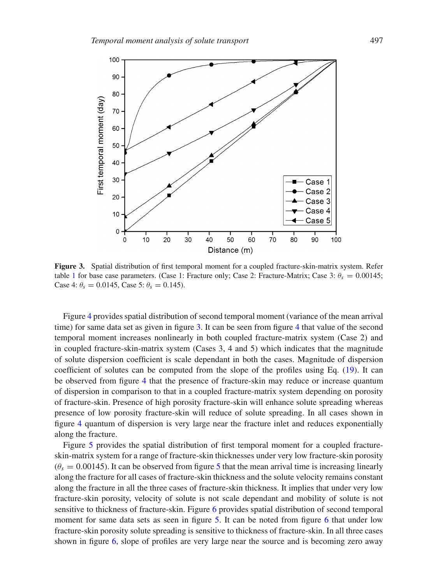<span id="page-10-0"></span>

**Figure 3.** Spatial distribution of first temporal moment for a coupled fracture-skin-matrix system. Refer table [1](#page-8-1) for base case parameters. (Case 1: Fracture only; Case 2: Fracture-Matrix; Case 3:  $\theta_s = 0.00145$ ; Case 4:  $\theta_s = 0.0145$ , Case 5:  $\theta_s = 0.145$ ).

Figure [4](#page-11-0) provides spatial distribution of second temporal moment (variance of the mean arrival time) for same data set as given in figure [3.](#page-10-0) It can be seen from figure [4](#page-11-0) that value of the second temporal moment increases nonlinearly in both coupled fracture-matrix system (Case 2) and in coupled fracture-skin-matrix system (Cases 3, 4 and 5) which indicates that the magnitude of solute dispersion coefficient is scale dependant in both the cases. Magnitude of dispersion coefficient of solutes can be computed from the slope of the profiles using Eq. [\(19\)](#page-6-1). It can be observed from figure [4](#page-11-0) that the presence of fracture-skin may reduce or increase quantum of dispersion in comparison to that in a coupled fracture-matrix system depending on porosity of fracture-skin. Presence of high porosity fracture-skin will enhance solute spreading whereas presence of low porosity fracture-skin will reduce of solute spreading. In all cases shown in figure [4](#page-11-0) quantum of dispersion is very large near the fracture inlet and reduces exponentially along the fracture.

Figure [5](#page-11-1) provides the spatial distribution of first temporal moment for a coupled fractureskin-matrix system for a range of fracture-skin thicknesses under very low fracture-skin porosity  $(\theta_s = 0.00145)$  $(\theta_s = 0.00145)$  $(\theta_s = 0.00145)$ . It can be observed from figure 5 that the mean arrival time is increasing linearly along the fracture for all cases of fracture-skin thickness and the solute velocity remains constant along the fracture in all the three cases of fracture-skin thickness. It implies that under very low fracture-skin porosity, velocity of solute is not scale dependant and mobility of solute is not sensitive to thickness of fracture-skin. Figure [6](#page-12-0) provides spatial distribution of second temporal moment for same data sets as seen in figure [5.](#page-11-1) It can be noted from figure [6](#page-12-0) that under low fracture-skin porosity solute spreading is sensitive to thickness of fracture-skin. In all three cases shown in figure [6,](#page-12-0) slope of profiles are very large near the source and is becoming zero away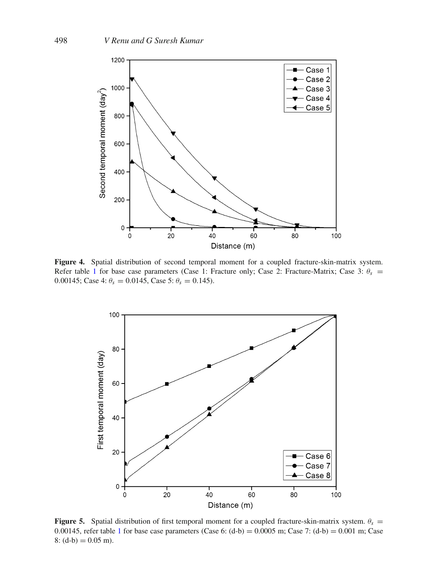<span id="page-11-0"></span>

**Figure 4.** Spatial distribution of second temporal moment for a coupled fracture-skin-matrix system. Refer table [1](#page-8-1) for base case parameters (Case 1: Fracture only; Case 2: Fracture-Matrix; Case 3:  $\theta_s$  = 0.00145; Case 4:  $\theta_s = 0.0145$ , Case 5:  $\theta_s = 0.145$ ).

<span id="page-11-1"></span>

**Figure 5.** Spatial distribution of first temporal moment for a coupled fracture-skin-matrix system.  $\theta_s =$ 0.00[1](#page-8-1)45, refer table 1 for base case parameters (Case 6:  $(d-b) = 0.0005$  m; Case 7:  $(d-b) = 0.001$  m; Case  $8: (d-b) = 0.05$  m).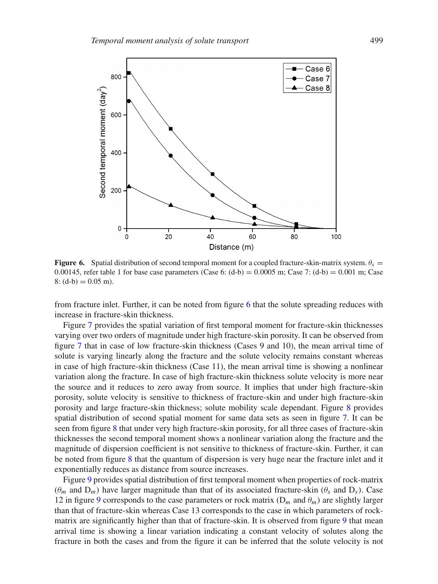<span id="page-12-0"></span>

**Figure 6.** Spatial distribution of second temporal moment for a coupled fracture-skin-matrix system.  $\theta_s =$ 0.00[1](#page-8-1)45, refer table 1 for base case parameters (Case 6:  $(d-b) = 0.0005$  m; Case 7:  $(d-b) = 0.001$  m; Case  $8: (d-b) = 0.05$  m).

from fracture inlet. Further, it can be noted from figure [6](#page-12-0) that the solute spreading reduces with increase in fracture-skin thickness.

Figure [7](#page-13-0) provides the spatial variation of first temporal moment for fracture-skin thicknesses varying over two orders of magnitude under high fracture-skin porosity. It can be observed from figure [7](#page-13-0) that in case of low fracture-skin thickness (Cases 9 and 10), the mean arrival time of solute is varying linearly along the fracture and the solute velocity remains constant whereas in case of high fracture-skin thickness (Case 11), the mean arrival time is showing a nonlinear variation along the fracture. In case of high fracture-skin thickness solute velocity is more near the source and it reduces to zero away from source. It implies that under high fracture-skin porosity, solute velocity is sensitive to thickness of fracture-skin and under high fracture-skin porosity and large fracture-skin thickness; solute mobility scale dependant. Figure [8](#page-13-1) provides spatial distribution of second spatial moment for same data sets as seen in figure [7.](#page-13-0) It can be seen from figure [8](#page-13-1) that under very high fracture-skin porosity, for all three cases of fracture-skin thicknesses the second temporal moment shows a nonlinear variation along the fracture and the magnitude of dispersion coefficient is not sensitive to thickness of fracture-skin. Further, it can be noted from figure [8](#page-13-1) that the quantum of dispersion is very huge near the fracture inlet and it exponentially reduces as distance from source increases.

Figure [9](#page-14-0) provides spatial distribution of first temporal moment when properties of rock-matrix  $(\theta_m$  and  $D_m$ ) have larger magnitude than that of its associated fracture-skin  $(\theta_s$  and  $D_s$ ). Case 12 in figure [9](#page-14-0) corresponds to the case parameters or rock matrix  $(D_m$  and  $\theta_m$ ) are slightly larger than that of fracture-skin whereas Case 13 corresponds to the case in which parameters of rockmatrix are significantly higher than that of fracture-skin. It is observed from figure [9](#page-14-0) that mean arrival time is showing a linear variation indicating a constant velocity of solutes along the fracture in both the cases and from the figure it can be inferred that the solute velocity is not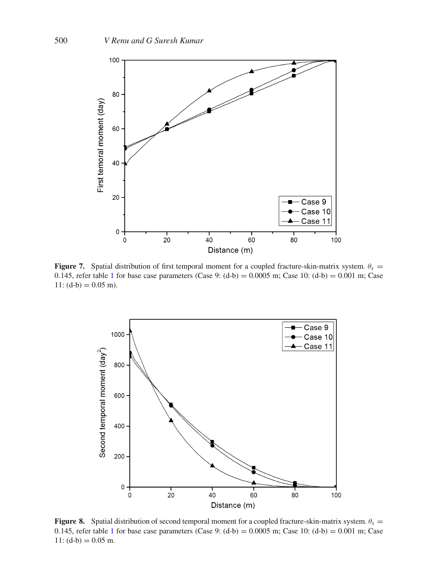<span id="page-13-0"></span>

**Figure 7.** Spatial distribution of first temporal moment for a coupled fracture-skin-matrix system.  $\theta_s =$ 0.[1](#page-8-1)45, refer table 1 for base case parameters (Case 9:  $(d-b) = 0.0005$  m; Case 10:  $(d-b) = 0.001$  m; Case 11:  $(d-b) = 0.05$  m).

<span id="page-13-1"></span>

**Figure 8.** Spatial distribution of second temporal moment for a coupled fracture-skin-matrix system.  $\theta_s =$ 0.[1](#page-8-1)45, refer table 1 for base case parameters (Case 9:  $(d-b) = 0.0005$  m; Case 10:  $(d-b) = 0.001$  m; Case 11:  $(d-b) = 0.05$  m.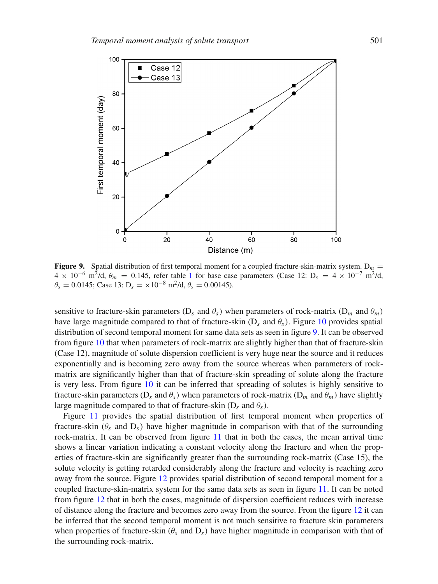<span id="page-14-0"></span>

**Figure 9.** Spatial distribution of first temporal moment for a coupled fracture-skin-matrix system.  $D_m =$  $4 \times 10^{-6}$  $4 \times 10^{-6}$  $4 \times 10^{-6}$  m<sup>2</sup>/d,  $\theta_m = 0.145$ , refer table 1 for base case parameters (Case 12: D<sub>s</sub> = 4 × 10<sup>-7</sup> m<sup>2</sup>/d,  $\theta_s = 0.0145$ ; Case 13: D<sub>s</sub> =  $\times 10^{-8}$  m<sup>2</sup>/d,  $\theta_s = 0.00145$ ).

sensitive to fracture-skin parameters ( $D_s$  and  $\theta_s$ ) when parameters of rock-matrix ( $D_m$  and  $\theta_m$ ) have large magnitude compared to that of fracture-skin ( $D_s$  and  $\theta_s$ ). Figure [10](#page-15-0) provides spatial distribution of second temporal moment for same data sets as seen in figure [9.](#page-14-0) It can be observed from figure [10](#page-15-0) that when parameters of rock-matrix are slightly higher than that of fracture-skin (Case 12), magnitude of solute dispersion coefficient is very huge near the source and it reduces exponentially and is becoming zero away from the source whereas when parameters of rockmatrix are significantly higher than that of fracture-skin spreading of solute along the fracture is very less. From figure [10](#page-15-0) it can be inferred that spreading of solutes is highly sensitive to fracture-skin parameters (D<sub>s</sub> and  $\theta_s$ ) when parameters of rock-matrix (D<sub>m</sub> and  $\theta_m$ ) have slightly large magnitude compared to that of fracture-skin  $(D_s \text{ and } \theta_s)$ .

Figure [11](#page-15-1) provides the spatial distribution of first temporal moment when properties of fracture-skin  $(\theta_s$  and  $D_s$ ) have higher magnitude in comparison with that of the surrounding rock-matrix. It can be observed from figure [11](#page-15-1) that in both the cases, the mean arrival time shows a linear variation indicating a constant velocity along the fracture and when the properties of fracture-skin are significantly greater than the surrounding rock-matrix (Case 15), the solute velocity is getting retarded considerably along the fracture and velocity is reaching zero away from the source. Figure [12](#page-16-0) provides spatial distribution of second temporal moment for a coupled fracture-skin-matrix system for the same data sets as seen in figure [11.](#page-15-1) It can be noted from figure [12](#page-16-0) that in both the cases, magnitude of dispersion coefficient reduces with increase of distance along the fracture and becomes zero away from the source. From the figure [12](#page-16-0) it can be inferred that the second temporal moment is not much sensitive to fracture skin parameters when properties of fracture-skin ( $\theta_s$  and  $D_s$ ) have higher magnitude in comparison with that of the surrounding rock-matrix.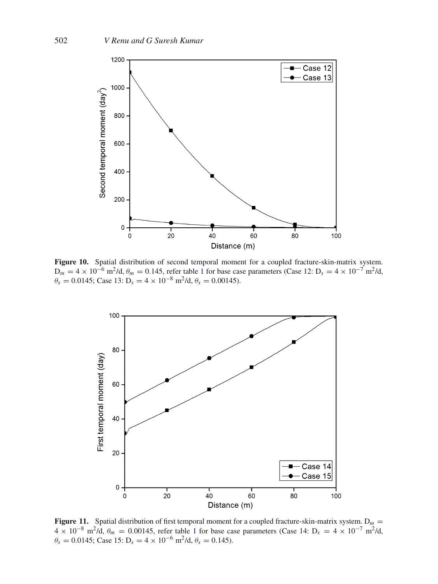<span id="page-15-0"></span>

**Figure 10.** Spatial distribution of second temporal moment for a coupled fracture-skin-matrix system.  $D_m = 4 \times 10^{-6}$  $D_m = 4 \times 10^{-6}$  $D_m = 4 \times 10^{-6}$  m<sup>2</sup>/d,  $\theta_m = 0.145$ , refer table 1 for base case parameters (Case 12:  $D_s = 4 \times 10^{-7}$  m<sup>2</sup>/d,  $\theta_s = 0.0145$ ; Case 13: D<sub>s</sub> = 4 × 10<sup>-8</sup> m<sup>2</sup>/d,  $\theta_s = 0.00145$ ).

<span id="page-15-1"></span>

**Figure 11.** Spatial distribution of first temporal moment for a coupled fracture-skin-matrix system.  $D_m =$  $4 \times 10^{-8}$  $4 \times 10^{-8}$  $4 \times 10^{-8}$  m<sup>2</sup>/d,  $\theta_m = 0.00145$ , refer table 1 for base case parameters (Case 14: D<sub>s</sub> = 4 × 10<sup>-7</sup> m<sup>2</sup>/d,  $\theta_s = 0.0145$ ; Case 15: D<sub>s</sub> = 4 × 10<sup>-6</sup> m<sup>2</sup>/d,  $\theta_s = 0.145$ ).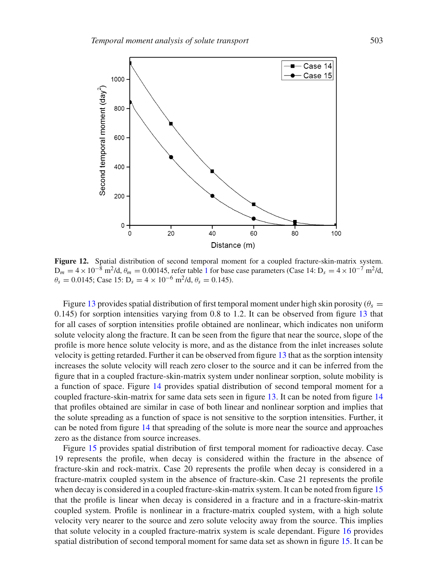<span id="page-16-0"></span>

**Figure 12.** Spatial distribution of second temporal moment for a coupled fracture-skin-matrix system.  $D_m = 4 \times 10^{-8}$  $D_m = 4 \times 10^{-8}$  $D_m = 4 \times 10^{-8}$  m<sup>2</sup>/d,  $\theta_m = 0.00145$ , refer table 1 for base case parameters (Case 14: D<sub>s</sub> = 4 × 10<sup>-7</sup> m<sup>2</sup>/d,  $\theta_s = 0.0145$ ; Case 15: D<sub>s</sub> = 4 × 10<sup>-6</sup> m<sup>2</sup>/d,  $\theta_s = 0.145$ ).

Figure [13](#page-17-0) provides spatial distribution of first temporal moment under high skin porosity ( $\theta_s =$ 0.145) for sorption intensities varying from 0.8 to 1.2. It can be observed from figure [13](#page-17-0) that for all cases of sorption intensities profile obtained are nonlinear, which indicates non uniform solute velocity along the fracture. It can be seen from the figure that near the source, slope of the profile is more hence solute velocity is more, and as the distance from the inlet increases solute velocity is getting retarded. Further it can be observed from figure [13](#page-17-0) that as the sorption intensity increases the solute velocity will reach zero closer to the source and it can be inferred from the figure that in a coupled fracture-skin-matrix system under nonlinear sorption, solute mobility is a function of space. Figure [14](#page-17-1) provides spatial distribution of second temporal moment for a coupled fracture-skin-matrix for same data sets seen in figure [13.](#page-17-0) It can be noted from figure [14](#page-17-1) that profiles obtained are similar in case of both linear and nonlinear sorption and implies that the solute spreading as a function of space is not sensitive to the sorption intensities. Further, it can be noted from figure [14](#page-17-1) that spreading of the solute is more near the source and approaches zero as the distance from source increases.

Figure [15](#page-18-0) provides spatial distribution of first temporal moment for radioactive decay. Case 19 represents the profile, when decay is considered within the fracture in the absence of fracture-skin and rock-matrix. Case 20 represents the profile when decay is considered in a fracture-matrix coupled system in the absence of fracture-skin. Case 21 represents the profile when decay is considered in a coupled fracture-skin-matrix system. It can be noted from figure [15](#page-18-0) that the profile is linear when decay is considered in a fracture and in a fracture-skin-matrix coupled system. Profile is nonlinear in a fracture-matrix coupled system, with a high solute velocity very nearer to the source and zero solute velocity away from the source. This implies that solute velocity in a coupled fracture-matrix system is scale dependant. Figure [16](#page-18-1) provides spatial distribution of second temporal moment for same data set as shown in figure [15.](#page-18-0) It can be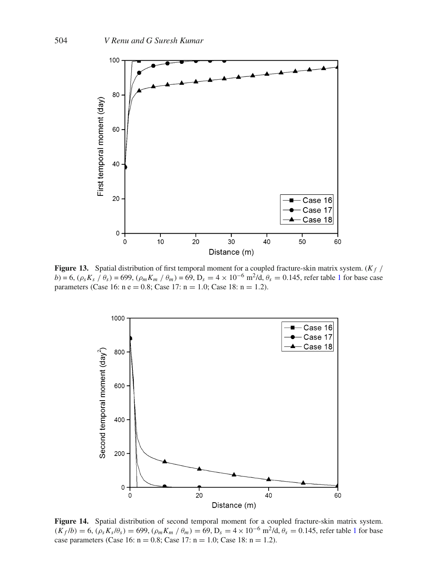<span id="page-17-0"></span>

Figure 13. Spatial distribution of first temporal moment for a coupled fracture-skin matrix system. (*K<sub>f</sub> / b*) = 6,  $(\rho_s K_s / \theta_s)$  = 699,  $(\rho_m K_m / \theta_m)$  = 69, D<sub>s</sub> = 4 × [1](#page-8-1)0<sup>-6</sup> m<sup>2</sup>/d,  $\theta_s$  = 0.145, refer table 1 for base case parameters (Case 16:  $n e = 0.8$ ; Case 17:  $n = 1.0$ ; Case 18:  $n = 1.2$ ).

<span id="page-17-1"></span>

**Figure 14.** Spatial distribution of second temporal moment for a coupled fracture-skin matrix system.  $(K_f /b) = 6$ ,  $(\rho_s K_s / \theta_s) = 699$ ,  $(\rho_m K_m / \theta_m) = 69$ ,  $D_s = 4 \times 10^{-6}$  $D_s = 4 \times 10^{-6}$  $D_s = 4 \times 10^{-6}$  m<sup>2</sup>/d,  $\theta_s = 0.145$ , refer table 1 for base case parameters (Case 16:  $n = 0.8$ ; Case 17:  $n = 1.0$ ; Case 18:  $n = 1.2$ ).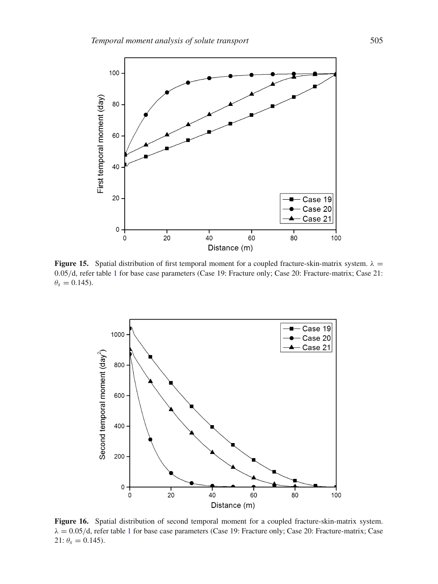<span id="page-18-0"></span>

**Figure 15.** Spatial distribution of first temporal moment for a coupled fracture-skin-matrix system.  $\lambda =$ 0.05/d, refer table [1](#page-8-1) for base case parameters (Case 19: Fracture only; Case 20: Fracture-matrix; Case 21:  $\theta_s = 0.145$ .

<span id="page-18-1"></span>

**Figure 16.** Spatial distribution of second temporal moment for a coupled fracture-skin-matrix system.  $\lambda = 0.05/d$ , refer table [1](#page-8-1) for base case parameters (Case 19: Fracture only; Case 20: Fracture-matrix; Case 21:  $\theta_s = 0.145$ ).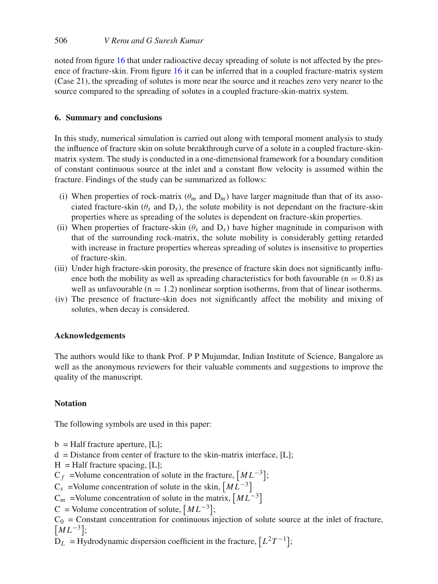noted from figure [16](#page-18-1) that under radioactive decay spreading of solute is not affected by the presence of fracture-skin. From figure [16](#page-18-1) it can be inferred that in a coupled fracture-matrix system (Case 21), the spreading of solutes is more near the source and it reaches zero very nearer to the source compared to the spreading of solutes in a coupled fracture-skin-matrix system.

# **6. Summary and conclusions**

In this study, numerical simulation is carried out along with temporal moment analysis to study the influence of fracture skin on solute breakthrough curve of a solute in a coupled fracture-skinmatrix system. The study is conducted in a one-dimensional framework for a boundary condition of constant continuous source at the inlet and a constant flow velocity is assumed within the fracture. Findings of the study can be summarized as follows:

- (i) When properties of rock-matrix  $(\theta_m$  and  $D_m$ ) have larger magnitude than that of its associated fracture-skin ( $\theta_s$  and  $D_s$ ), the solute mobility is not dependant on the fracture-skin properties where as spreading of the solutes is dependent on fracture-skin properties.
- (ii) When properties of fracture-skin ( $\theta_s$  and  $D_s$ ) have higher magnitude in comparison with that of the surrounding rock-matrix, the solute mobility is considerably getting retarded with increase in fracture properties whereas spreading of solutes is insensitive to properties of fracture-skin.
- (iii) Under high fracture-skin porosity, the presence of fracture skin does not significantly influence both the mobility as well as spreading characteristics for both favourable ( $n = 0.8$ ) as well as unfavourable  $(n = 1.2)$  nonlinear sorption isotherms, from that of linear isotherms.
- (iv) The presence of fracture-skin does not significantly affect the mobility and mixing of solutes, when decay is considered.

# **Acknowledgements**

The authors would like to thank Prof. P P Mujumdar, Indian Institute of Science, Bangalore as well as the anonymous reviewers for their valuable comments and suggestions to improve the quality of the manuscript.

# **Notation**

The following symbols are used in this paper:

- $b = \text{Half fracture aperture}, [L];$
- $d = Distance from center of the *skin-matrix* interface,  $[L]$ ;$
- $H = \text{Half fracture spacing}, [L];$

 $C_f$  =Volume concentration of solute in the fracture,  $\left[ML^{-3}\right]$ ;

- $C_s$  =Volume concentration of solute in the skin,  $[M\overline{L}^{-3}]$
- $C_m$  =Volume concentration of solute in the matrix,  $\left[ML^{-3}\right]$

C = Volume concentration of solute,  $\left[ML^{-3}\right]$ ;

 $C_0$  = Constant concentration for continuous injection of solute source at the inlet of fracture,  $\left[ML^{-3}\right];$ 

 $\overline{D}_L$  = Hydrodynamic dispersion coefficient in the fracture,  $[L^2T^{-1}]$ ;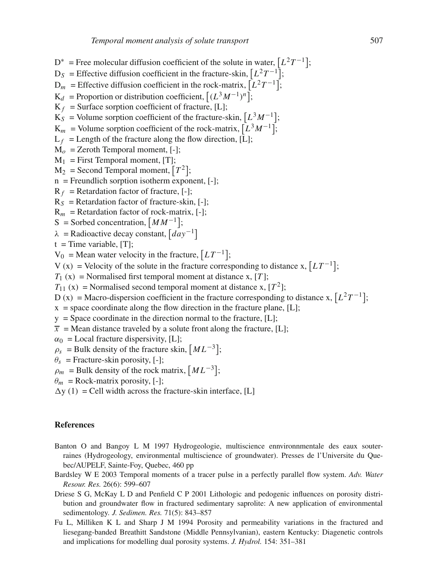$D^*$  = Free molecular diffusion coefficient of the solute in water,  $[L^2T^{-1}]$ ;  $D<sub>S</sub>$  = Effective diffusion coefficient in the fracture-skin,  $[L<sup>2</sup>T<sup>-1</sup>]$ ;  $D_m$  = Effective diffusion coefficient in the rock-matrix,  $[L^2T^{-1}]$ ;  $K_d$  = Proportion or distribution coefficient,  $[(L^3M^{-1})^n]$ ;  $K_f$  = Surface sorption coefficient of fracture, [L];  $K_S$  = Volume sorption coefficient of the fracture-skin,  $[L^3M^{-1}]$ ;  $K_m$  = Volume sorption coefficient of the rock-matrix,  $[L^3M^{-1}]$ ;  $L_f$  = Length of the fracture along the flow direction, [L];  $M<sub>o</sub>$  = Zeroth Temporal moment, [-];  $M_1$  = First Temporal moment, [T];  $M_2$  = Second Temporal moment,  $[T^2]$ ;  $n =$  Freundlich sorption isotherm exponent,  $[-]$ ;  $R_f$  = Retardation factor of fracture, [-];  $R_S$  = Retardation factor of fracture-skin, [-];  $R_m$  = Retardation factor of rock-matrix, [-]; S = Sorbed concentration,  $[MM^{-1}]$ ;  $\lambda$  = Radioactive decay constant,  $\left[day^{-1}\right]$  $t =$ Time variable, [T];  $V_0$  = Mean water velocity in the fracture,  $[LT^{-1}]$ ; V (x) = Velocity of the solute in the fracture corresponding to distance x,  $\left[LT^{-1}\right]$ ;  $T_1$  (x) = Normalised first temporal moment at distance x, [T];  $T_{11}$  (x) = Normalised second temporal moment at distance x,  $[T^2]$ ; D (x) = Macro-dispersion coefficient in the fracture corresponding to distance x,  $[L^2T^{-1}]$ ;  $x =$  space coordinate along the flow direction in the fracture plane, [L];  $y =$ Space coordinate in the direction normal to the fracture, [L];  $\overline{x}$  = Mean distance traveled by a solute front along the fracture, [L];  $\alpha_0$  = Local fracture dispersivity, [L];  $\rho_s$  = Bulk density of the fracture skin,  $\left[ML^{-3}\right]$ ;  $\theta_s$  = Fracture-skin porosity, [-];  $\rho_m$  = Bulk density of the rock matrix,  $\left[ML^{-3}\right]$ ;  $\theta_m$  = Rock-matrix porosity, [-];  $\Delta y$  (1) = Cell width across the fracture-skin interface, [L]

### **References**

- <span id="page-20-3"></span>Banton O and Bangoy L M 1997 Hydrogeologie, multiscience ennvironnmentale des eaux souterraines (Hydrogeology, environmental multiscience of groundwater). Presses de l'Universite du Quebec/AUPELF, Sainte-Foy, Quebec, 460 pp
- <span id="page-20-2"></span>Bardsley W E 2003 Temporal moments of a tracer pulse in a perfectly parallel flow system. *Adv. Water Resour. Res.* 26(6): 599–607
- <span id="page-20-1"></span>Driese S G, McKay L D and Penfield C P 2001 Lithologic and pedogenic influences on porosity distribution and groundwater flow in fractured sedimentary saprolite: A new application of environmental sedimentology. *J. Sedimen. Res.* 71(5): 843–857
- <span id="page-20-0"></span>Fu L, Milliken K L and Sharp J M 1994 Porosity and permeability variations in the fractured and liesegang-banded Breathitt Sandstone (Middle Pennsylvanian), eastern Kentucky: Diagenetic controls and implications for modelling dual porosity systems. *J. Hydrol.* 154: 351–381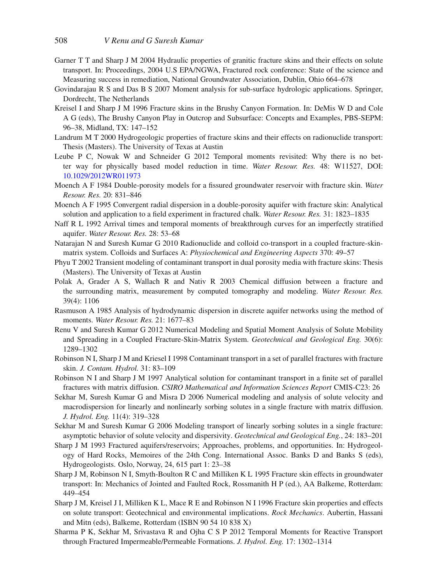- <span id="page-21-6"></span>Garner T T and Sharp J M 2004 Hydraulic properties of granitic fracture skins and their effects on solute transport. In: Proceedings, 2004 U.S EPA/NGWA, Fractured rock conference: State of the science and Measuring success in remediation, National Groundwater Association, Dublin, Ohio 664–678
- <span id="page-21-20"></span>Govindarajau R S and Das B S 2007 Moment analysis for sub-surface hydrologic applications. Springer, Dordrecht, The Netherlands
- <span id="page-21-7"></span>Kreisel I and Sharp J M 1996 Fracture skins in the Brushy Canyon Formation. In: DeMis W D and Cole A G (eds), The Brushy Canyon Play in Outcrop and Subsurface: Concepts and Examples, PBS-SEPM: 96–38, Midland, TX: 147–152
- <span id="page-21-8"></span>Landrum M T 2000 Hydrogeologic properties of fracture skins and their effects on radionuclide transport: Thesis (Masters). The University of Texas at Austin
- <span id="page-21-18"></span>Leube P C, Nowak W and Schneider G 2012 Temporal moments revisited: Why there is no better way for physically based model reduction in time. *Water Resour. Res.* 48: W11527, DOI: [10.1029/2012WR011973](http://dx.doi.org/doi:10.1029/2012WR011973)
- <span id="page-21-0"></span>Moench A F 1984 Double-porosity models for a fissured groundwater reservoir with fracture skin. *Water Resour. Res.* 20: 831–846
- <span id="page-21-1"></span>Moench A F 1995 Convergent radial dispersion in a double-porosity aquifer with fracture skin: Analytical solution and application to a field experiment in fractured chalk. *Water Resour. Res.* 31: 1823–1835
- <span id="page-21-16"></span>Naff R L 1992 Arrival times and temporal moments of breakthrough curves for an imperfectly stratified aquifer. *Water Resour. Res.* 28: 53–68
- <span id="page-21-14"></span>Natarajan N and Suresh Kumar G 2010 Radionuclide and colloid co-transport in a coupled fracture-skinmatrix system. Colloids and Surfaces A: *Physiochemical and Engineering Aspects* 370: 49–57
- <span id="page-21-9"></span>Phyu T 2002 Transient modeling of contaminant transport in dual porosity media with fracture skins: Thesis (Masters). The University of Texas at Austin
- <span id="page-21-5"></span>Polak A, Grader A S, Wallach R and Nativ R 2003 Chemical diffusion between a fracture and the surrounding matrix, measurement by computed tomography and modeling. *Water Resour. Res.* 39(4): 1106
- <span id="page-21-19"></span>Rasmuson A 1985 Analysis of hydrodynamic dispersion in discrete aquifer networks using the method of moments. *Water Resour. Res.* 21: 1677–83
- <span id="page-21-12"></span>Renu V and Suresh Kumar G 2012 Numerical Modeling and Spatial Moment Analysis of Solute Mobility and Spreading in a Coupled Fracture-Skin-Matrix System. *Geotechnical and Geological Eng.* 30(6): 1289–1302
- <span id="page-21-10"></span>Robinson N I, Sharp J M and Kriesel I 1998 Contaminant transport in a set of parallel fractures with fracture skin. *J. Contam. Hydrol.* 31: 83–109
- <span id="page-21-4"></span>Robinson N I and Sharp J M 1997 Analytical solution for contaminant transport in a finite set of parallel fractures with matrix diffusion. *CSIRO Mathematical and Information Sciences Report* CMIS-C23: 26
- <span id="page-21-13"></span>Sekhar M, Suresh Kumar G and Misra D 2006 Numerical modeling and analysis of solute velocity and macrodispersion for linearly and nonlinearly sorbing solutes in a single fracture with matrix diffusion. *J. Hydrol. Eng.* 11(4): 319–328
- <span id="page-21-17"></span>Sekhar M and Suresh Kumar G 2006 Modeling transport of linearly sorbing solutes in a single fracture: asymptotic behavior of solute velocity and dispersivity. *Geotechnical and Geological Eng.*, 24: 183–201
- <span id="page-21-2"></span>Sharp J M 1993 Fractured aquifers/reservoirs; Approaches, problems, and opportunities. In: Hydrogeology of Hard Rocks, Memoires of the 24th Cong. International Assoc. Banks D and Banks S (eds), Hydrogeologists. Oslo, Norway, 24, 615 part 1: 23–38
- <span id="page-21-11"></span>Sharp J M, Robinson N I, Smyth-Boulton R C and Milliken K L 1995 Fracture skin effects in groundwater transport: In: Mechanics of Jointed and Faulted Rock, Rossmanith H P (ed.), AA Balkeme, Rotterdam: 449–454
- <span id="page-21-3"></span>Sharp J M, Kreisel J I, Milliken K L, Mace R E and Robinson N I 1996 Fracture skin properties and effects on solute transport: Geotechnical and environmental implications. *Rock Mechanics*. Aubertin, Hassani and Mitn (eds), Balkeme, Rotterdam (ISBN 90 54 10 838 X)
- <span id="page-21-15"></span>Sharma P K, Sekhar M, Srivastava R and Ojha C S P 2012 Temporal Moments for Reactive Transport through Fractured Impermeable/Permeable Formations. *J. Hydrol. Eng.* 17: 1302–1314